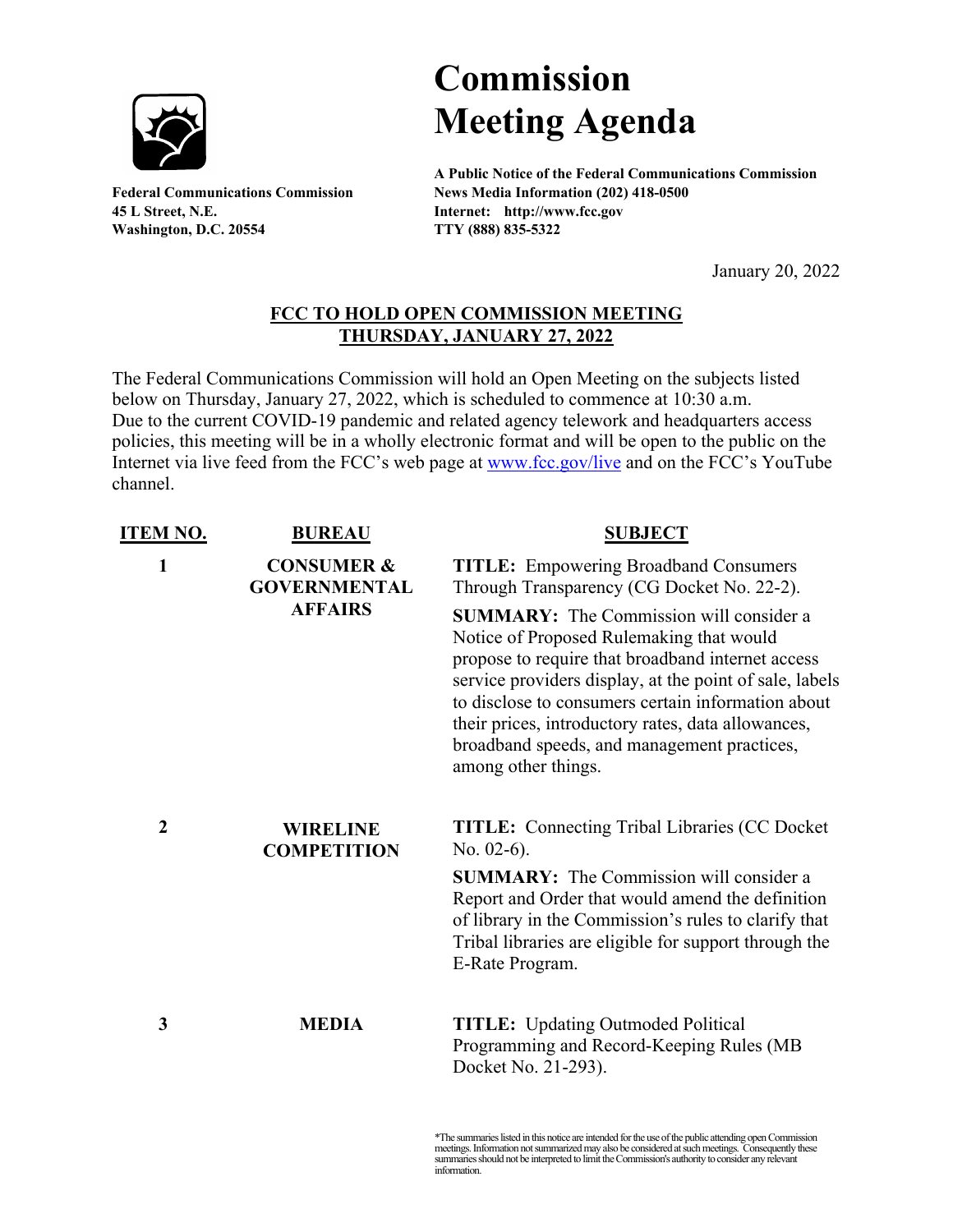

**45 L Street, N.E. Internet: http://www.fcc.gov Washington, D.C. 20554 TTY (888) 835-5322**

## **Commission Meeting Agenda**

**A Public Notice of the Federal Communications Commission Federal Communications Commission News Media Information (202) 418-0500**

January 20, 2022

## **FCC TO HOLD OPEN COMMISSION MEETING THURSDAY, JANUARY 27, 2022**

The Federal Communications Commission will hold an Open Meeting on the subjects listed below on Thursday, January 27, 2022, which is scheduled to commence at 10:30 a.m. Due to the current COVID-19 pandemic and related agency telework and headquarters access policies, this meeting will be in a wholly electronic format and will be open to the public on the Internet via live feed from the FCC's web page at [www.fcc.gov/live](http://www.fcc.gov/live) and on the FCC's YouTube channel.

| <b>ITEM NO.</b> | <b>BUREAU</b>                                | <b>SUBJECT</b>                                                                                                                                                                                                                                                                                                                                                                               |
|-----------------|----------------------------------------------|----------------------------------------------------------------------------------------------------------------------------------------------------------------------------------------------------------------------------------------------------------------------------------------------------------------------------------------------------------------------------------------------|
| 1               | <b>CONSUMER &amp;</b><br><b>GOVERNMENTAL</b> | <b>TITLE:</b> Empowering Broadband Consumers<br>Through Transparency (CG Docket No. 22-2).                                                                                                                                                                                                                                                                                                   |
|                 | <b>AFFAIRS</b>                               | <b>SUMMARY:</b> The Commission will consider a<br>Notice of Proposed Rulemaking that would<br>propose to require that broadband internet access<br>service providers display, at the point of sale, labels<br>to disclose to consumers certain information about<br>their prices, introductory rates, data allowances,<br>broadband speeds, and management practices,<br>among other things. |
| $\overline{2}$  | <b>WIRELINE</b><br><b>COMPETITION</b>        | <b>TITLE:</b> Connecting Tribal Libraries (CC Docket)<br>No. $02-6$ ).                                                                                                                                                                                                                                                                                                                       |
|                 |                                              | <b>SUMMARY:</b> The Commission will consider a<br>Report and Order that would amend the definition<br>of library in the Commission's rules to clarify that<br>Tribal libraries are eligible for support through the<br>E-Rate Program.                                                                                                                                                       |
| 3               | <b>MEDIA</b>                                 | <b>TITLE:</b> Updating Outmoded Political<br>Programming and Record-Keeping Rules (MB<br>Docket No. 21-293).                                                                                                                                                                                                                                                                                 |

\*The summaries listed in this notice are intended for the use of the public attending open Commission meetings. Information not summarized may also be considered at such meetings. Consequently these summaries should not be interpreted to limit the Commission's authority to consider any relevant information.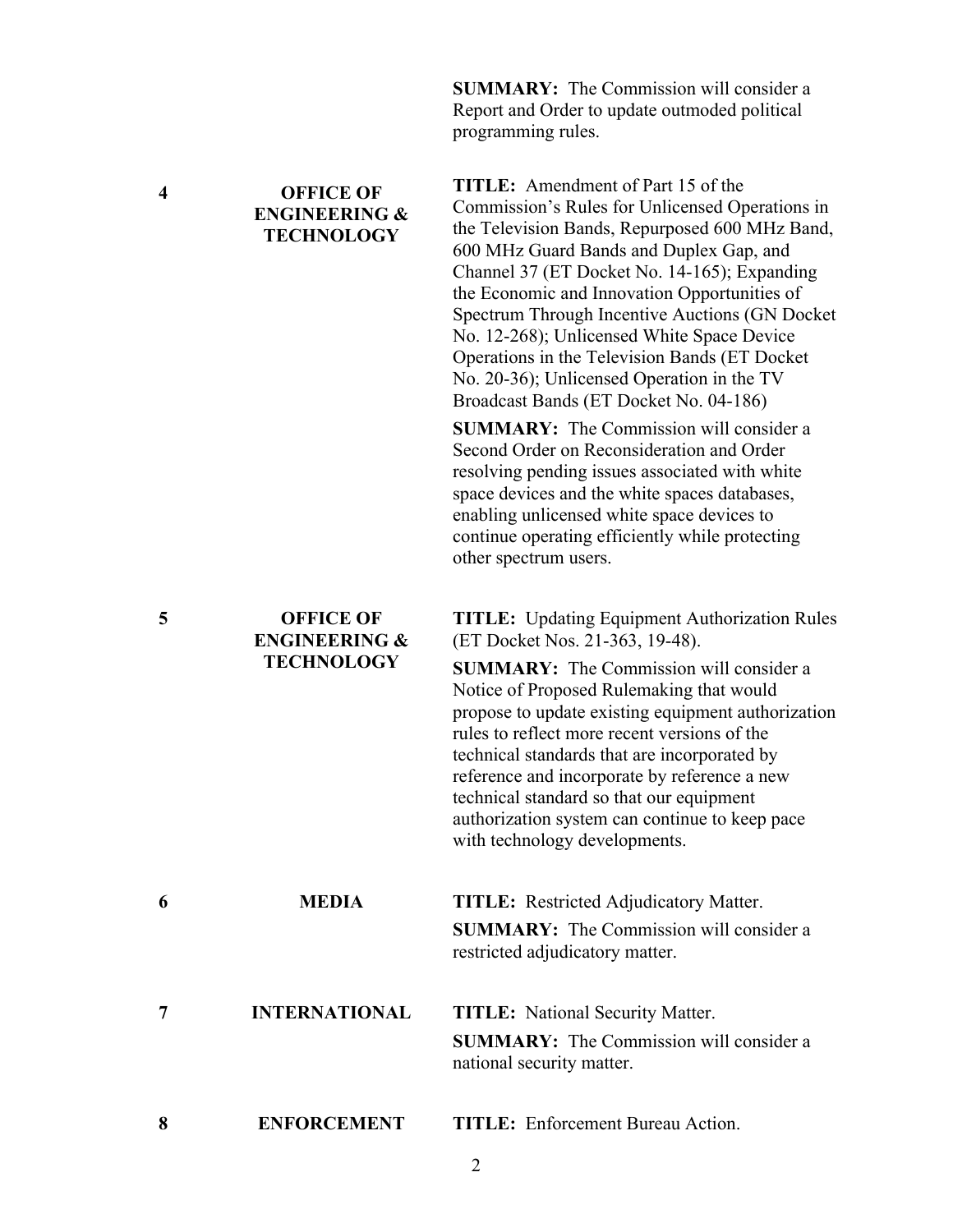|                         |                                                                   | Report and Order to update outmoded political<br>programming rules.                                                                                                                                                                                                                                                                                                                                                                                                                                                                |
|-------------------------|-------------------------------------------------------------------|------------------------------------------------------------------------------------------------------------------------------------------------------------------------------------------------------------------------------------------------------------------------------------------------------------------------------------------------------------------------------------------------------------------------------------------------------------------------------------------------------------------------------------|
| $\overline{\mathbf{4}}$ | <b>OFFICE OF</b><br><b>ENGINEERING &amp;</b><br><b>TECHNOLOGY</b> | <b>TITLE:</b> Amendment of Part 15 of the<br>Commission's Rules for Unlicensed Operations in<br>the Television Bands, Repurposed 600 MHz Band,<br>600 MHz Guard Bands and Duplex Gap, and<br>Channel 37 (ET Docket No. 14-165); Expanding<br>the Economic and Innovation Opportunities of<br>Spectrum Through Incentive Auctions (GN Docket<br>No. 12-268); Unlicensed White Space Device<br>Operations in the Television Bands (ET Docket<br>No. 20-36); Unlicensed Operation in the TV<br>Broadcast Bands (ET Docket No. 04-186) |
|                         |                                                                   | <b>SUMMARY:</b> The Commission will consider a<br>Second Order on Reconsideration and Order<br>resolving pending issues associated with white<br>space devices and the white spaces databases,<br>enabling unlicensed white space devices to<br>continue operating efficiently while protecting<br>other spectrum users.                                                                                                                                                                                                           |
| 5                       | <b>OFFICE OF</b><br><b>ENGINEERING &amp;</b>                      | <b>TITLE:</b> Updating Equipment Authorization Rules<br>(ET Docket Nos. 21-363, 19-48).                                                                                                                                                                                                                                                                                                                                                                                                                                            |
|                         | <b>TECHNOLOGY</b>                                                 | <b>SUMMARY:</b> The Commission will consider a<br>Notice of Proposed Rulemaking that would<br>propose to update existing equipment authorization<br>rules to reflect more recent versions of the<br>technical standards that are incorporated by<br>reference and incorporate by reference a new<br>technical standard so that our equipment<br>authorization system can continue to keep pace<br>with technology developments.                                                                                                    |
| 6                       | <b>MEDIA</b>                                                      | <b>TITLE:</b> Restricted Adjudicatory Matter.                                                                                                                                                                                                                                                                                                                                                                                                                                                                                      |
|                         |                                                                   | <b>SUMMARY:</b> The Commission will consider a<br>restricted adjudicatory matter.                                                                                                                                                                                                                                                                                                                                                                                                                                                  |
| 7                       | <b>INTERNATIONAL</b>                                              | <b>TITLE:</b> National Security Matter.<br><b>SUMMARY:</b> The Commission will consider a<br>national security matter.                                                                                                                                                                                                                                                                                                                                                                                                             |
| 8                       | <b>ENFORCEMENT</b>                                                | <b>TITLE:</b> Enforcement Bureau Action.                                                                                                                                                                                                                                                                                                                                                                                                                                                                                           |

**SUMMARY:** The Commission will consider a